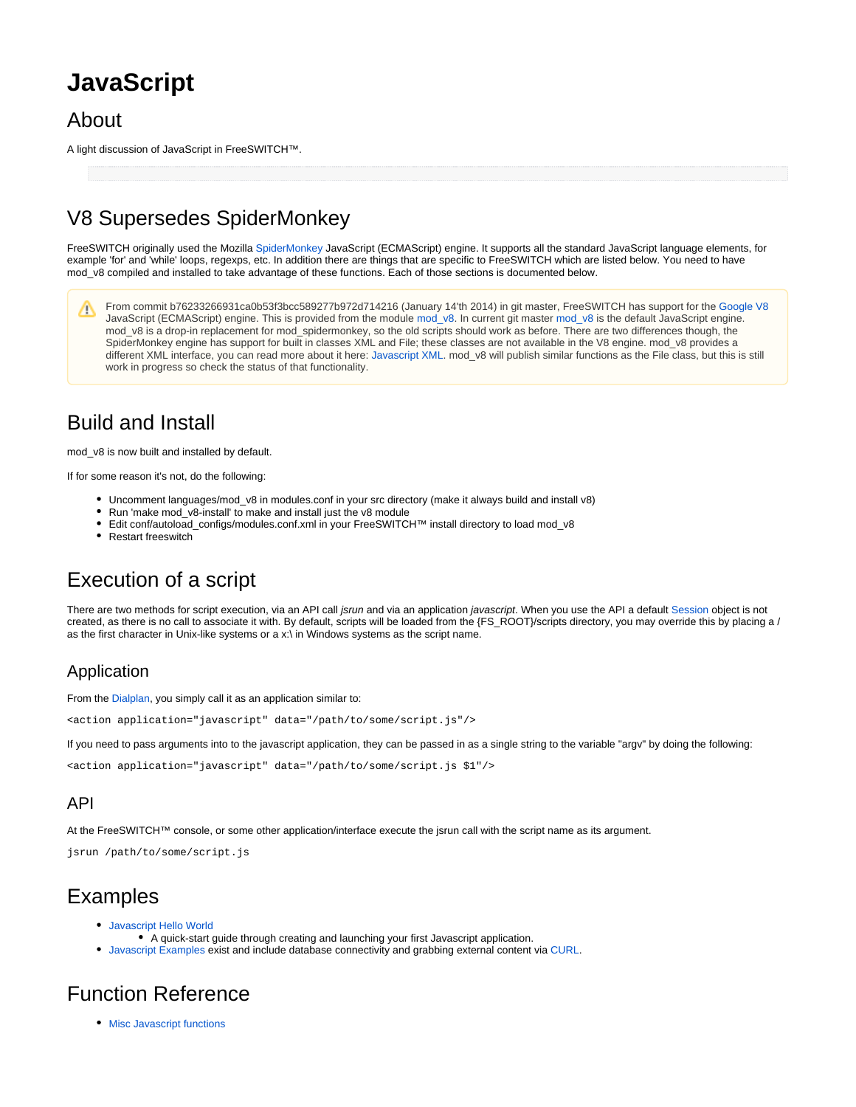# **JavaScript**

## About

A light discussion of JavaScript in FreeSWITCH™.

# V8 Supersedes SpiderMonkey

FreeSWITCH originally used the Mozilla [SpiderMonkey](http://www.mozilla.org/js/spidermonkey/) JavaScript (ECMAScript) engine. It supports all the standard JavaScript language elements, for example 'for' and 'while' loops, regexps, etc. In addition there are things that are specific to FreeSWITCH which are listed below. You need to have mod v8 compiled and installed to take advantage of these functions. Each of those sections is documented below.

From commit b76233266931ca0b53f3bcc589277b972d714216 (January 14'th 2014) in git master, FreeSWITCH has support for the [Google V8](https://code.google.com/p/v8/) /∖ JavaScript (ECMAScript) engine. This is provided from the module [mod\\_v8](https://freeswitch.org/confluence/display/FREESWITCH/mod_v8). In current git master [mod\\_v8](https://freeswitch.org/confluence/display/FREESWITCH/mod_v8) is the default JavaScript engine. mod\_v8 is a drop-in replacement for mod\_spidermonkey, so the old scripts should work as before. There are two differences though, the SpiderMonkey engine has support for built in classes XML and File; these classes are not available in the V8 engine. mod\_v8 provides a different XML interface, you can read more about it here: [Javascript XML](https://freeswitch.org/confluence/display/FREESWITCH/JavaScript+example+-+XML). mod\_v8 will publish similar functions as the File class, but this is still work in progress so check the status of that functionality.

## Build and Install

mod\_v8 is now built and installed by default.

If for some reason it's not, do the following:

- Uncomment languages/mod\_v8 in modules.conf in your src directory (make it always build and install v8)
- Run 'make mod\_v8-install' to make and install just the v8 module
- Edit conf/autoload\_configs/modules.conf.xml in your FreeSWITCH™ install directory to load mod\_v8
- Restart freeswitch

# Execution of a script

There are two methods for script execution, via an API call *jsrun* and via an application *javascript*. When you use the API a default [Session](https://freeswitch.org/confluence/display/FREESWITCH/Session) object is not created, as there is no call to associate it with. By default, scripts will be loaded from the {FS\_ROOT}/scripts directory, you may override this by placing a / as the first character in Unix-like systems or a x:\ in Windows systems as the script name.

### Application

From the [Dialplan](https://freeswitch.org/confluence/display/FREESWITCH/XML+Dialplan), you simply call it as an application similar to:

<action application="javascript" data="/path/to/some/script.js"/>

If you need to pass arguments into to the javascript application, they can be passed in as a single string to the variable "argv" by doing the following:

<action application="javascript" data="/path/to/some/script.js \$1"/>

### API

At the FreeSWITCH™ console, or some other application/interface execute the jsrun call with the script name as its argument.

jsrun /path/to/some/script.js

## Examples

- [Javascript Hello World](https://freeswitch.org/confluence/display/FREESWITCH/Javascript+Example+-+HelloWorld)
- A quick-start quide through creating and launching your first Javascript application.
- [Javascript Examples](https://freeswitch.org/confluence/dosearchsite.action?queryString=javascript+example) exist and include database connectivity and grabbing external content via [CURL](http://en.wikipedia.org/wiki/CURL).

# Function Reference

• [Misc Javascript functions](https://wiki.freeswitch.org/wiki/Misc_Javascript_functions)